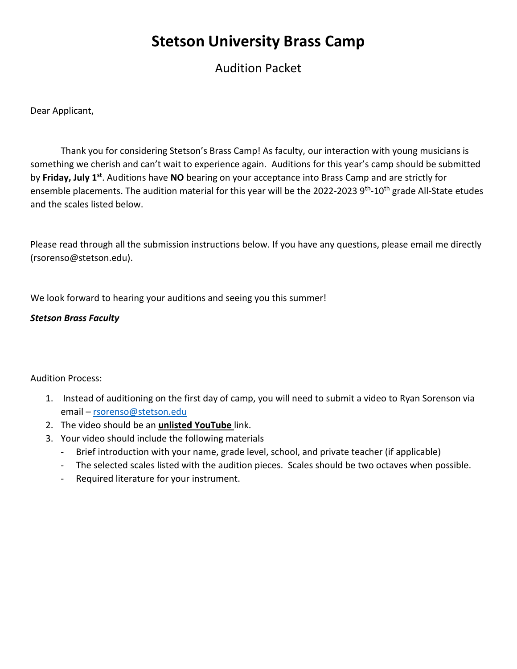# **Stetson University Brass Camp**

Audition Packet

Dear Applicant,

Thank you for considering Stetson's Brass Camp! As faculty, our interaction with young musicians is something we cherish and can't wait to experience again. Auditions for this year's camp should be submitted by **Friday, July 1st**. Auditions have **NO** bearing on your acceptance into Brass Camp and are strictly for ensemble placements. The audition material for this year will be the 2022-2023 9<sup>th</sup>-10<sup>th</sup> grade All-State etudes and the scales listed below.

Please read through all the submission instructions below. If you have any questions, please email me directly (rsorenso@stetson.edu).

We look forward to hearing your auditions and seeing you this summer!

### *Stetson Brass Faculty*

### Audition Process:

- 1. Instead of auditioning on the first day of camp, you will need to submit a video to Ryan Sorenson via email – [rsorenso@stetson.edu](mailto:rsorenso@stetson.edu)
- 2. The video should be an **unlisted YouTube** link.
- 3. Your video should include the following materials
	- Brief introduction with your name, grade level, school, and private teacher (if applicable)
	- The selected scales listed with the audition pieces. Scales should be two octaves when possible.
	- Required literature for your instrument.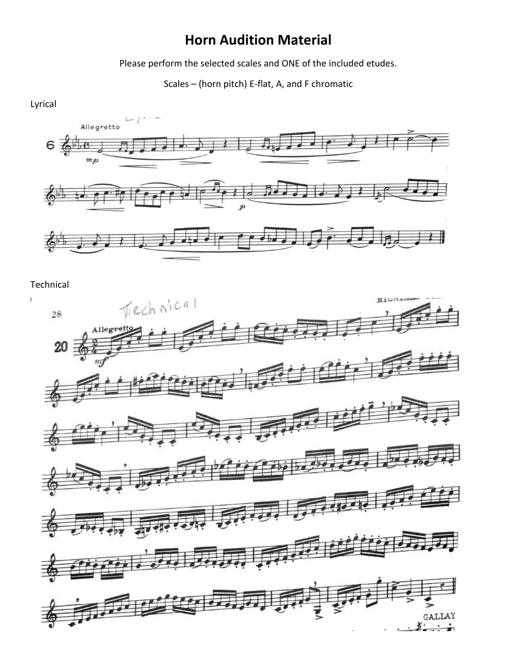# **Horn Audition Material**

Please perform the selected scales and ONE of the included etudes.

Scales – (horn pitch) E-flat, A, and F chromatic





Technical

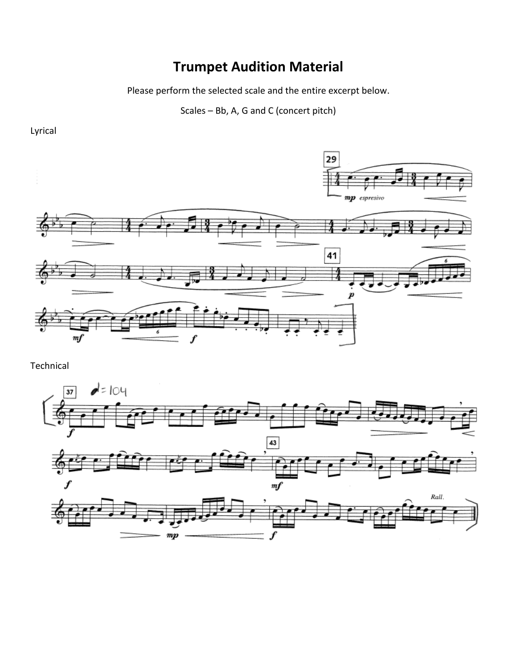### **Trumpet Audition Material**

Please perform the selected scale and the entire excerpt below.

Scales – Bb, A, G and C (concert pitch)



Technical



Lyrical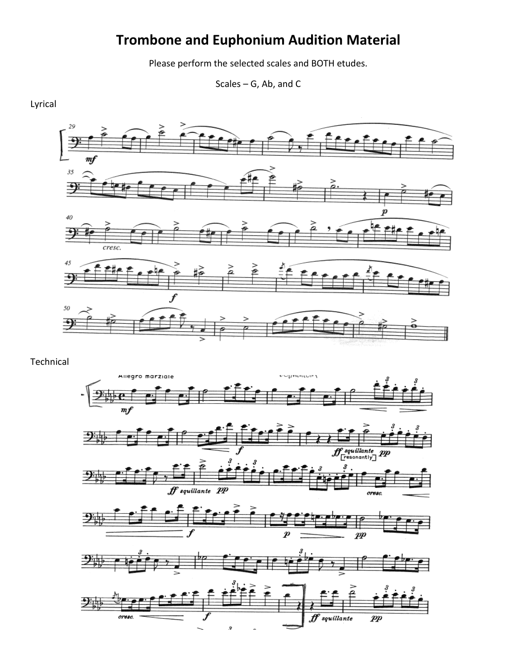# **Trombone and Euphonium Audition Material**

Please perform the selected scales and BOTH etudes.

Scales – G, Ab, and C

Lyrical



Technical

oresc.



 $f$  squillante

 $\boldsymbol{p}\boldsymbol{p}$